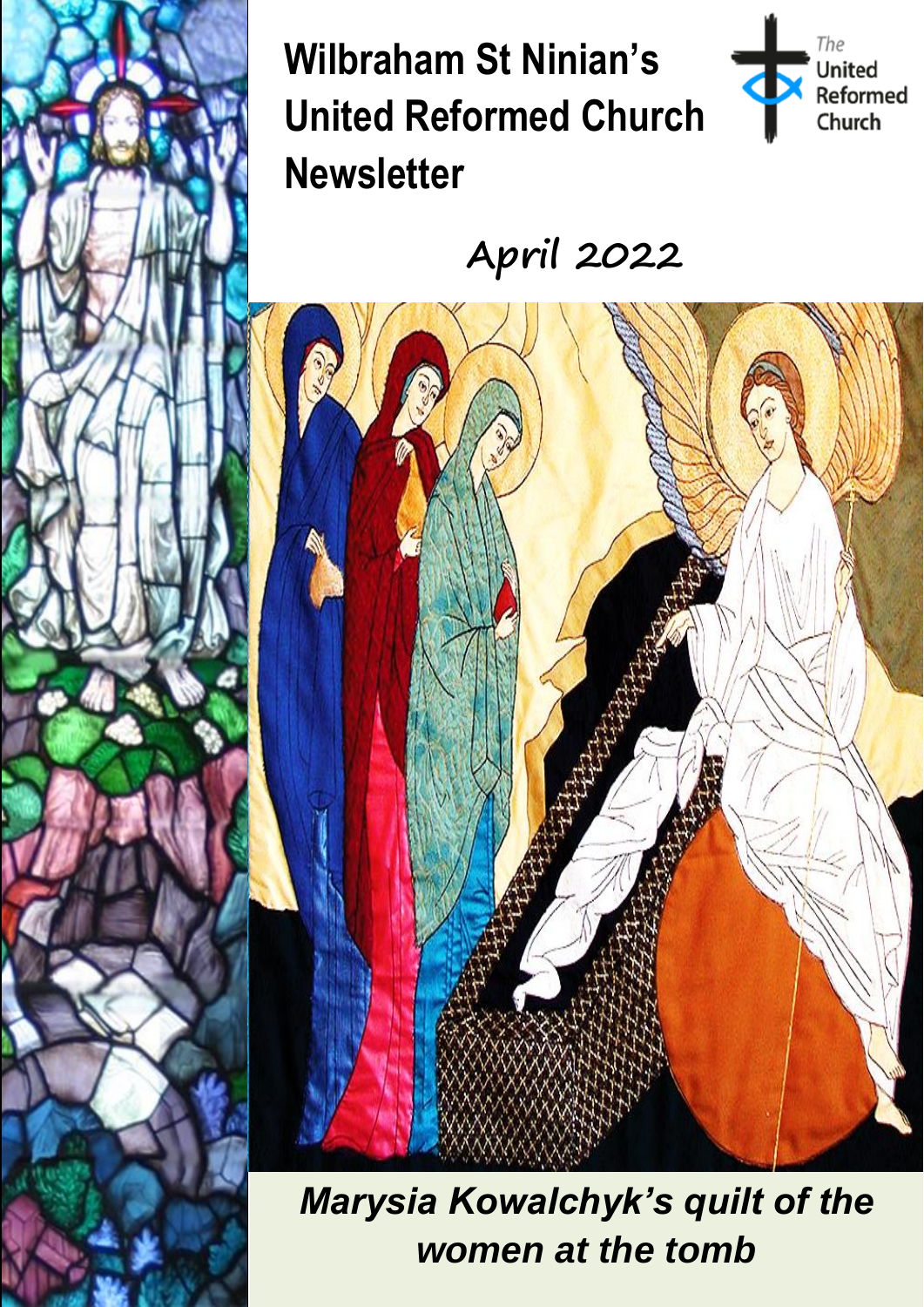**Wilbraham St Ninian's United Reformed Church Newsletter**

ļ

**Stained Glass Window by Francis Spear**



**April 2022**



**Marysia Kowalchyk's quilt of the** *women at the tomb*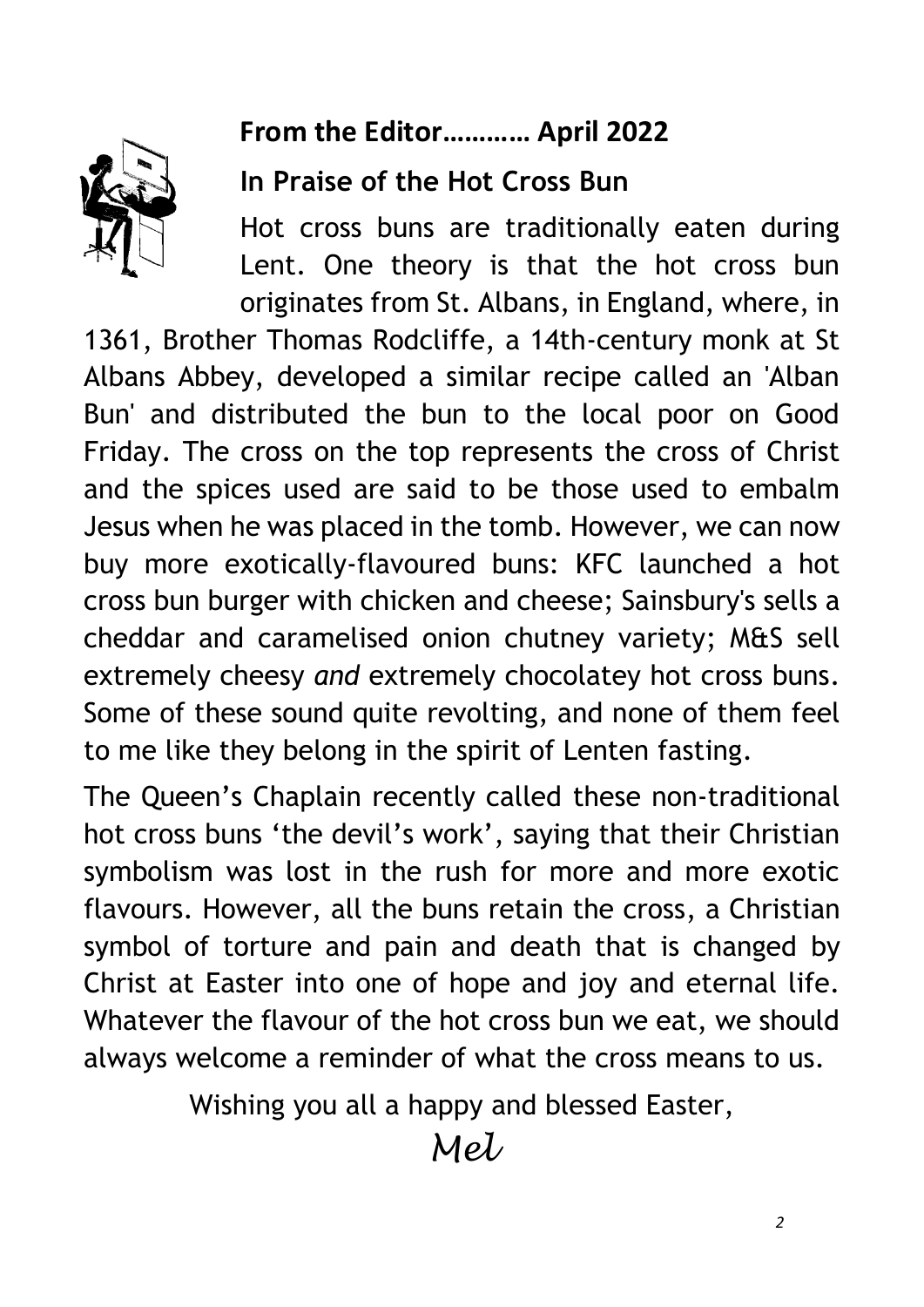### **From the Editor………… April 2022**



#### **In Praise of the Hot Cross Bun**

Hot cross buns are traditionally eaten during Lent. One theory is that the hot cross bun originates from St. Albans, in England, where, in

1361, Brother Thomas Rodcliffe, a 14th-century monk at St Albans Abbey, developed a similar recipe called an 'Alban Bun' and distributed the bun to the local poor on Good Friday. The cross on the top represents the cross of Christ and the spices used are said to be those used to embalm Jesus when he was placed in the tomb. However, we can now buy more exotically-flavoured buns: KFC launched a hot cross bun burger with chicken and cheese; Sainsbury's sells a cheddar and caramelised onion chutney variety; M&S sell extremely cheesy *and* extremely chocolatey hot cross buns. Some of these sound quite revolting, and none of them feel to me like they belong in the spirit of Lenten fasting.

The Queen's Chaplain recently called these non-traditional hot cross buns 'the devil's work', saying that their Christian symbolism was lost in the rush for more and more exotic flavours. However, all the buns retain the cross, a Christian symbol of torture and pain and death that is changed by Christ at Easter into one of hope and joy and eternal life. Whatever the flavour of the hot cross bun we eat, we should always welcome a reminder of what the cross means to us.

Wishing you all a happy and blessed Easter,

 $Mel$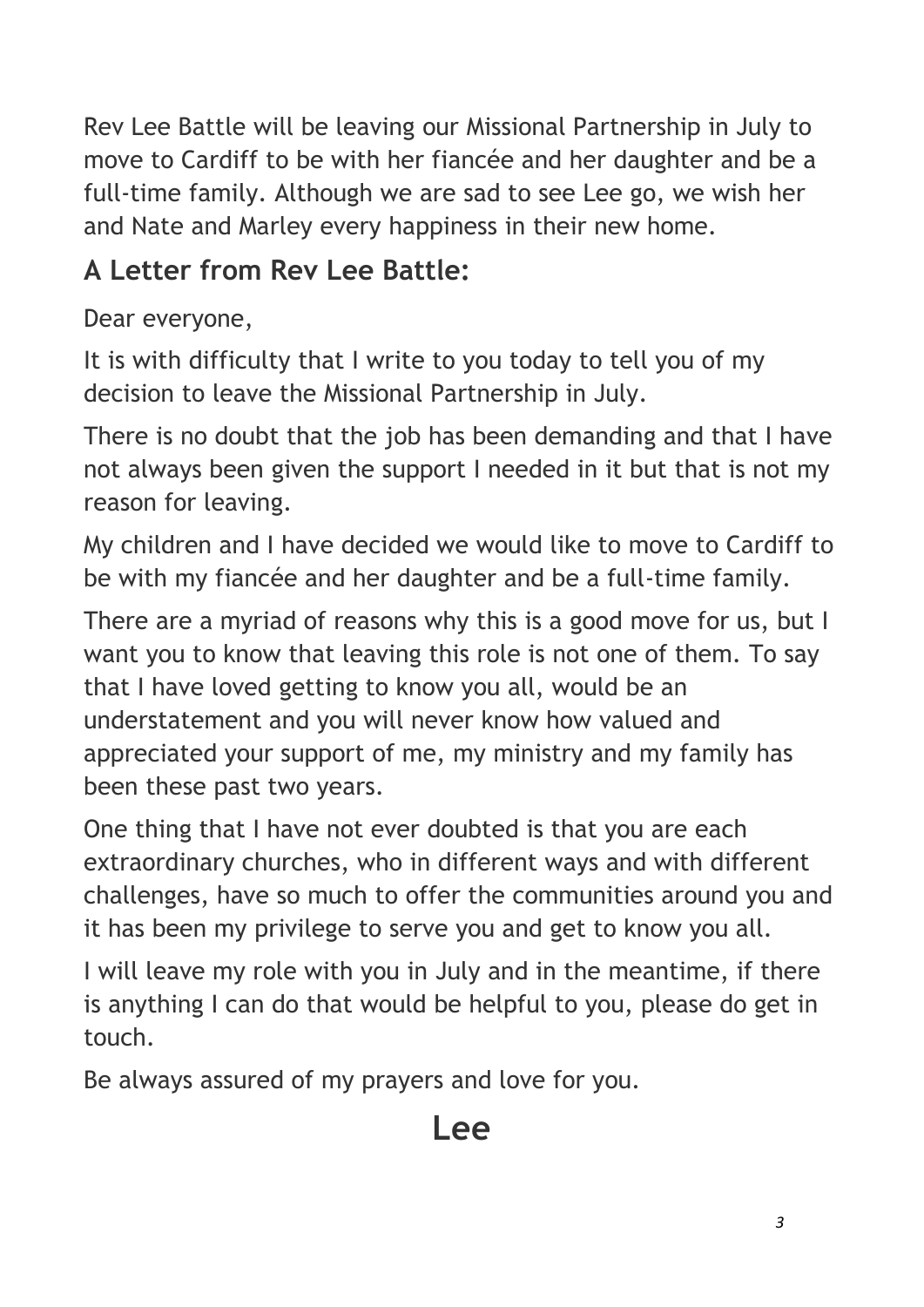Rev Lee Battle will be leaving our Missional Partnership in July to move to Cardiff to be with her fiancée and her daughter and be a full-time family. Although we are sad to see Lee go, we wish her and Nate and Marley every happiness in their new home.

### **A Letter from Rev Lee Battle:**

Dear everyone,

It is with difficulty that I write to you today to tell you of my decision to leave the Missional Partnership in July.

There is no doubt that the job has been demanding and that I have not always been given the support I needed in it but that is not my reason for leaving.

My children and I have decided we would like to move to Cardiff to be with my fiancée and her daughter and be a full-time family.

There are a myriad of reasons why this is a good move for us, but I want you to know that leaving this role is not one of them. To say that I have loved getting to know you all, would be an understatement and you will never know how valued and appreciated your support of me, my ministry and my family has been these past two years.

One thing that I have not ever doubted is that you are each extraordinary churches, who in different ways and with different challenges, have so much to offer the communities around you and it has been my privilege to serve you and get to know you all.

I will leave my role with you in July and in the meantime, if there is anything I can do that would be helpful to you, please do get in touch.

Be always assured of my prayers and love for you.

# **Lee**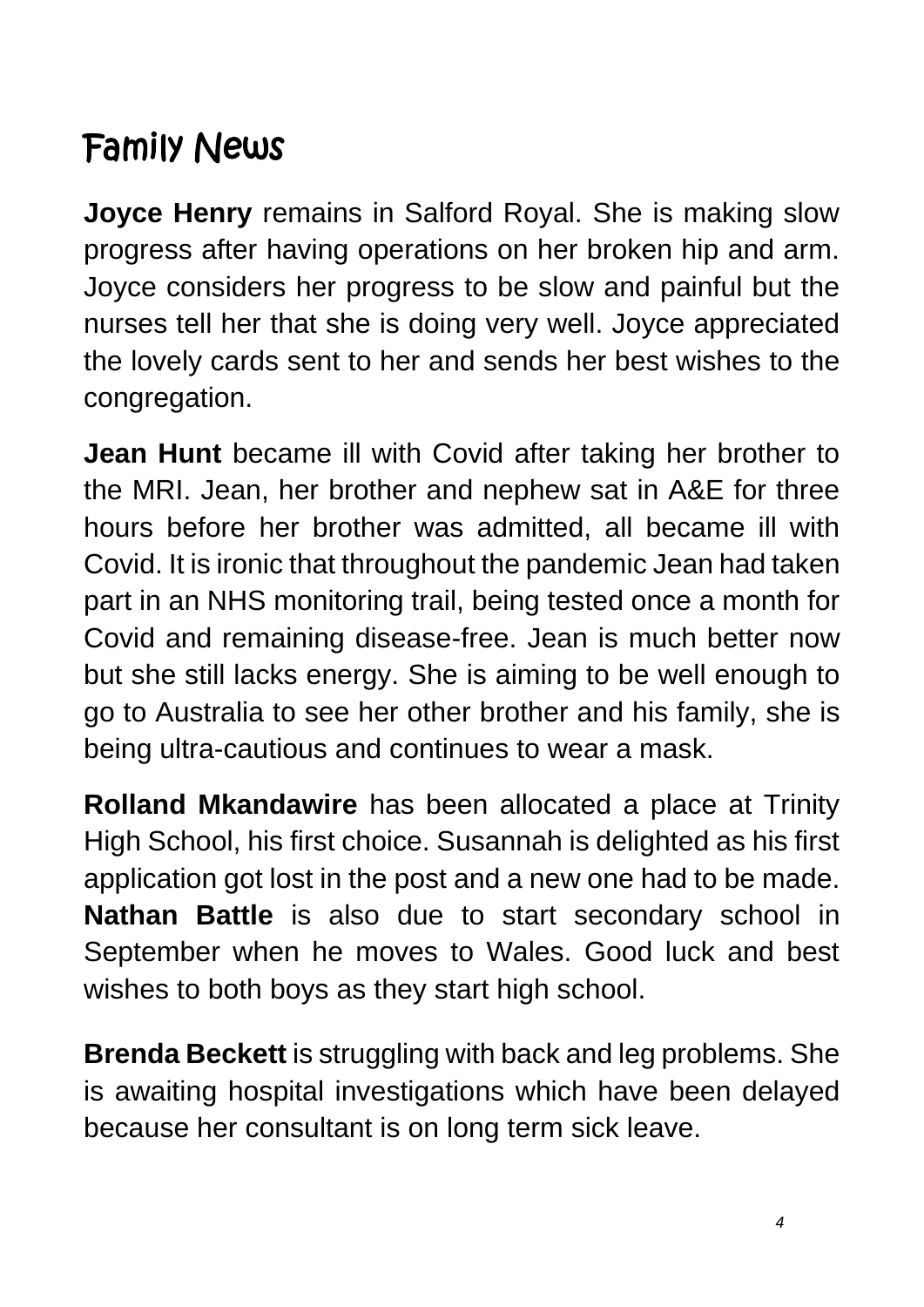# Family News

**Joyce Henry** remains in Salford Royal. She is making slow progress after having operations on her broken hip and arm. Joyce considers her progress to be slow and painful but the nurses tell her that she is doing very well. Joyce appreciated the lovely cards sent to her and sends her best wishes to the congregation.

**Jean Hunt** became ill with Covid after taking her brother to the MRI. Jean, her brother and nephew sat in A&E for three hours before her brother was admitted, all became ill with Covid. It is ironic that throughout the pandemic Jean had taken part in an NHS monitoring trail, being tested once a month for Covid and remaining disease-free. Jean is much better now but she still lacks energy. She is aiming to be well enough to go to Australia to see her other brother and his family, she is being ultra-cautious and continues to wear a mask.

**Rolland Mkandawire** has been allocated a place at Trinity High School, his first choice. Susannah is delighted as his first application got lost in the post and a new one had to be made. **Nathan Battle** is also due to start secondary school in September when he moves to Wales. Good luck and best wishes to both boys as they start high school.

**Brenda Beckett** is struggling with back and leg problems. She is awaiting hospital investigations which have been delayed because her consultant is on long term sick leave.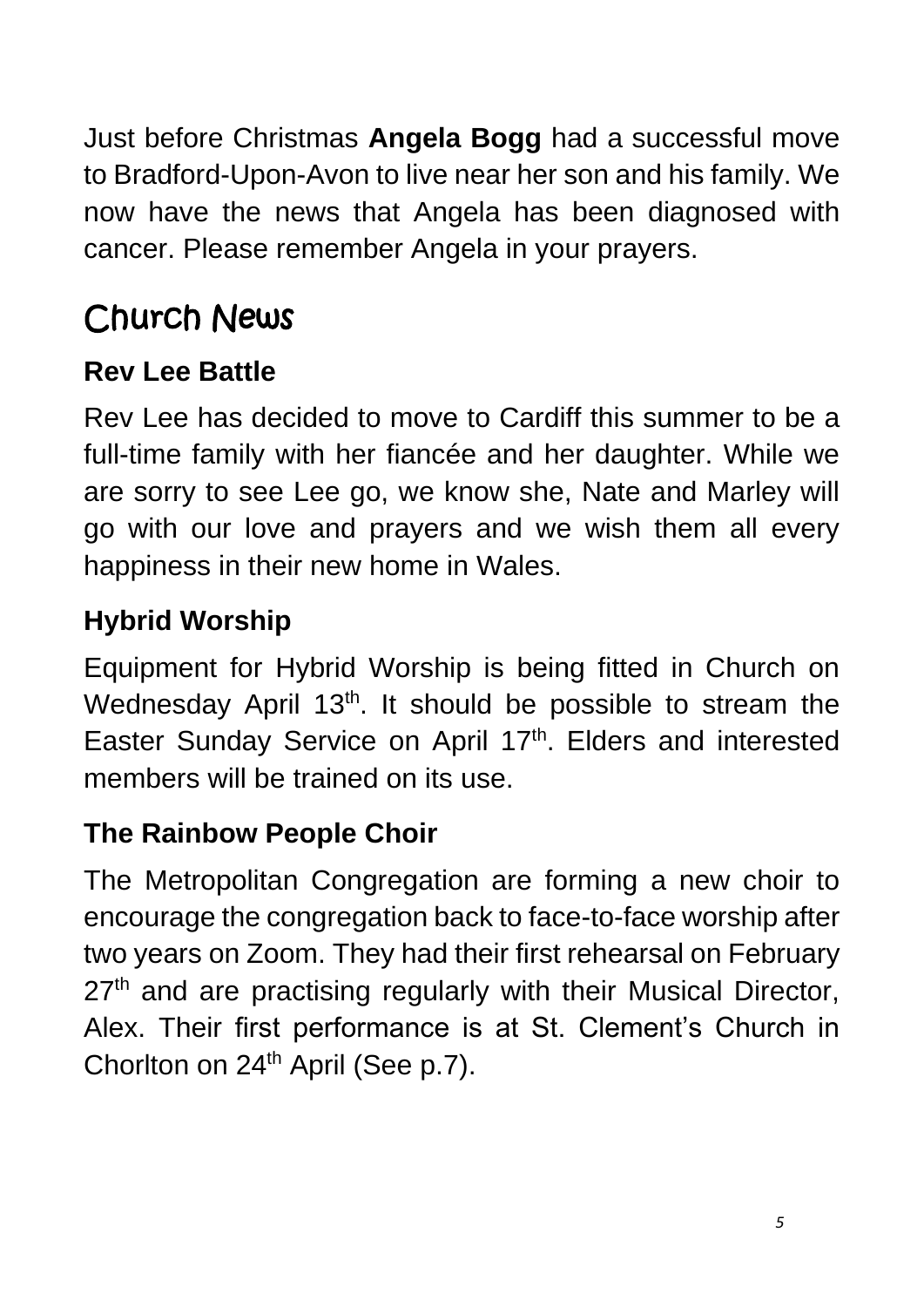Just before Christmas **Angela Bogg** had a successful move to Bradford-Upon-Avon to live near her son and his family. We now have the news that Angela has been diagnosed with cancer. Please remember Angela in your prayers.

# Church News

### **Rev Lee Battle**

Rev Lee has decided to move to Cardiff this summer to be a full-time family with her fiancée and her daughter. While we are sorry to see Lee go, we know she, Nate and Marley will go with our love and prayers and we wish them all every happiness in their new home in Wales.

### **Hybrid Worship**

Equipment for Hybrid Worship is being fitted in Church on Wednesday April 13<sup>th</sup>. It should be possible to stream the Easter Sunday Service on April 17<sup>th</sup>. Elders and interested members will be trained on its use.

### **The Rainbow People Choir**

The Metropolitan Congregation are forming a new choir to encourage the congregation back to face-to-face worship after two years on Zoom. They had their first rehearsal on February 27<sup>th</sup> and are practising regularly with their Musical Director, Alex. Their first performance is at St. Clement's Church in Chorlton on 24<sup>th</sup> April (See p.7).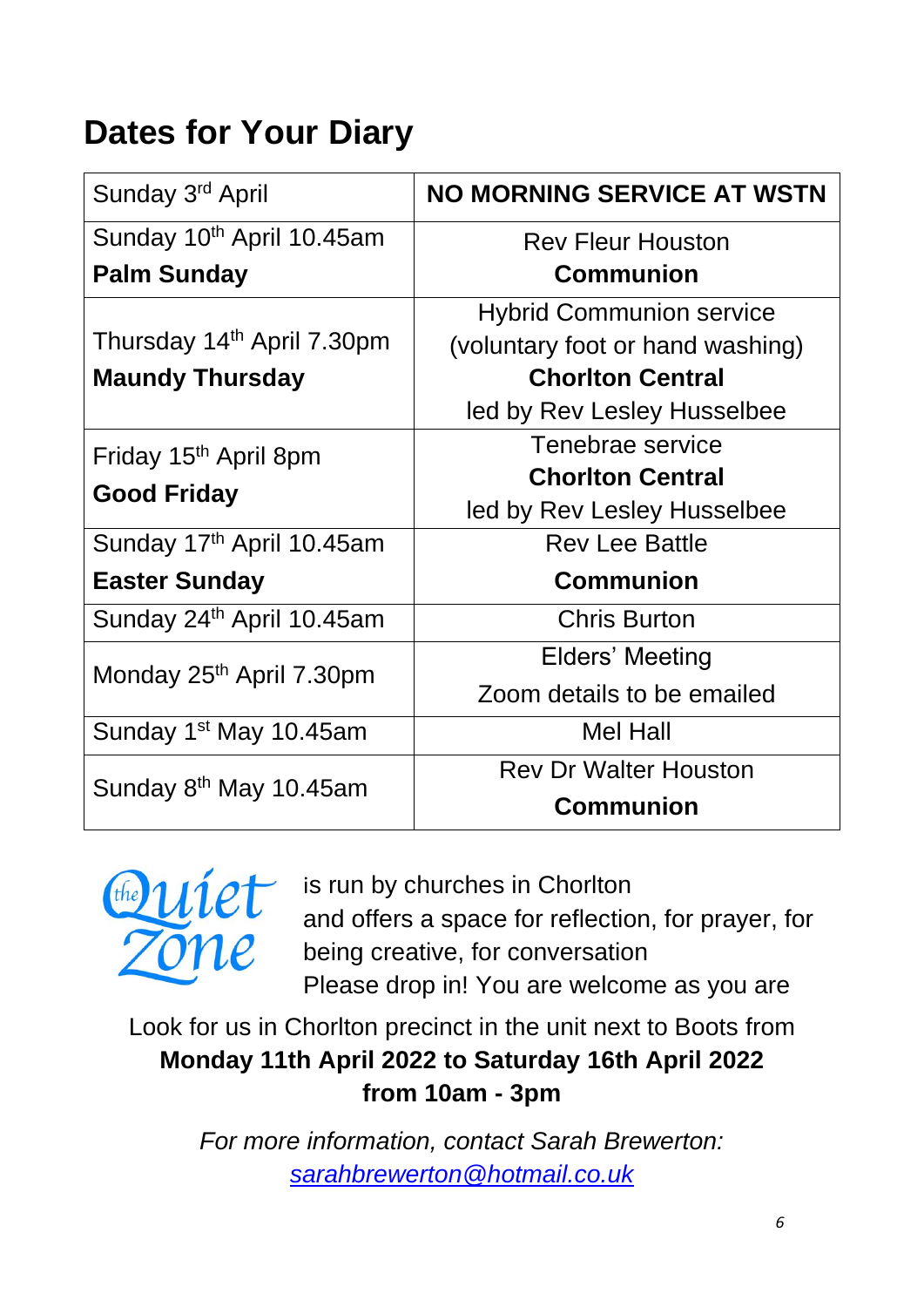# **Dates for Your Diary**

| Sunday 3 <sup>rd</sup> April                            | <b>NO MORNING SERVICE AT WSTN</b> |
|---------------------------------------------------------|-----------------------------------|
| Sunday 10th April 10.45am                               | <b>Rev Fleur Houston</b>          |
| <b>Palm Sunday</b>                                      | <b>Communion</b>                  |
|                                                         | <b>Hybrid Communion service</b>   |
| Thursday 14 <sup>th</sup> April 7.30pm                  | (voluntary foot or hand washing)  |
| <b>Maundy Thursday</b>                                  | <b>Chorlton Central</b>           |
|                                                         | led by Rev Lesley Husselbee       |
| Friday 15 <sup>th</sup> April 8pm<br><b>Good Friday</b> | Tenebrae service                  |
|                                                         | <b>Chorlton Central</b>           |
|                                                         | led by Rev Lesley Husselbee       |
| Sunday 17th April 10.45am                               | <b>Rev Lee Battle</b>             |
| <b>Easter Sunday</b>                                    | <b>Communion</b>                  |
| Sunday 24th April 10.45am                               | <b>Chris Burton</b>               |
| Monday 25 <sup>th</sup> April 7.30pm                    | Elders' Meeting                   |
|                                                         | Zoom details to be emailed        |
| Sunday 1 <sup>st</sup> May 10.45am                      | <b>Mel Hall</b>                   |
|                                                         | <b>Rev Dr Walter Houston</b>      |
| Sunday 8 <sup>th</sup> May 10.45am                      | <b>Communion</b>                  |



is run by churches in Chorlton and offers a space for reflection, for prayer, for being creative, for conversation Please drop in! You are welcome as you are

Look for us in Chorlton precinct in the unit next to Boots from **Monday 11th April 2022 to Saturday 16th April 2022 from 10am - 3pm**

> *For more information, contact Sarah Brewerton: [sarahbrewerton@hotmail.co.uk](mailto:sarahbrewerton@hotmail.co.uk)*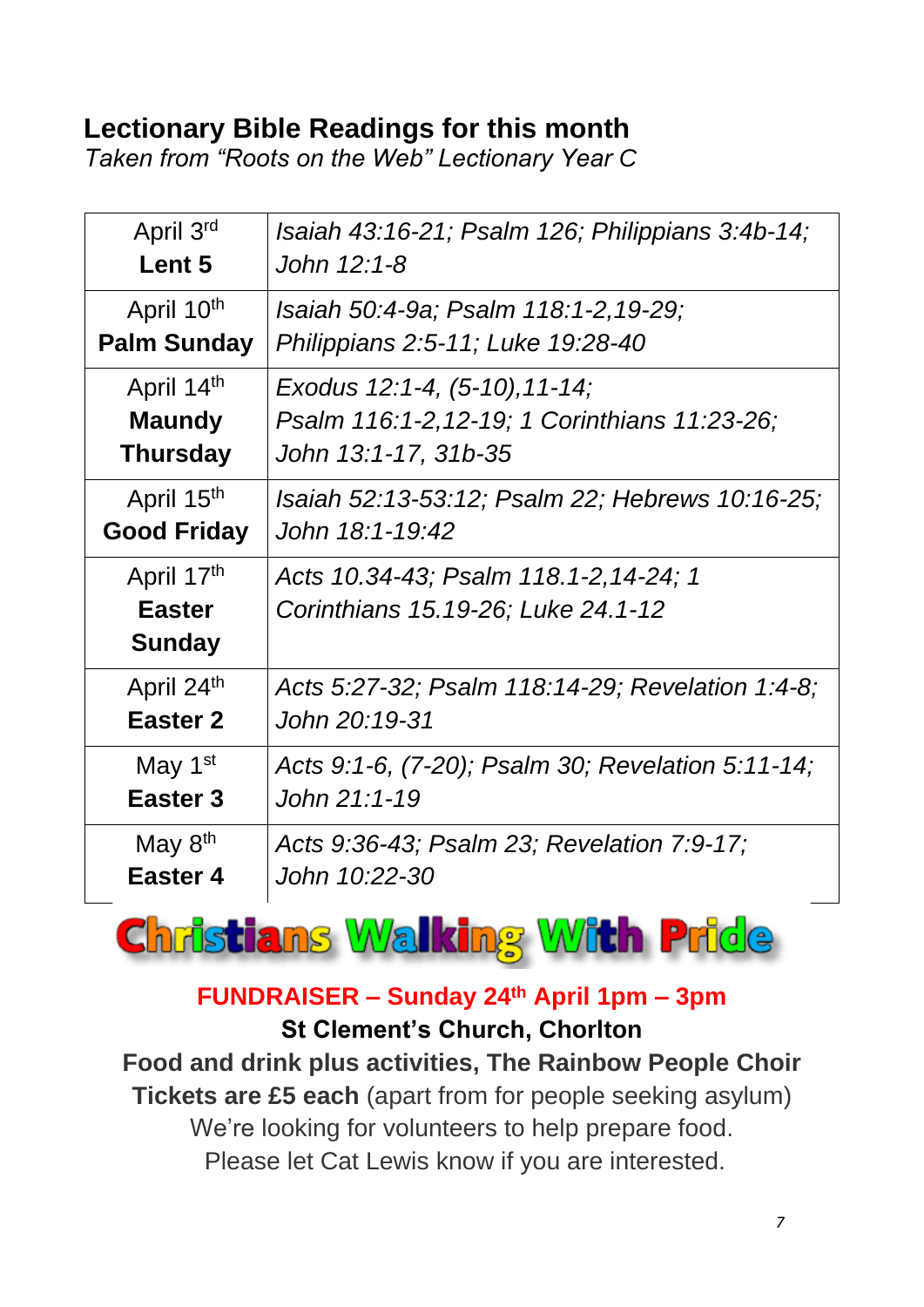#### **Lectionary Bible Readings for this month**

*Taken from "Roots on the Web" Lectionary Year C*

| April 3rd                                    | Isaiah 43:16-21; Psalm 126; Philippians 3:4b-14;                            |
|----------------------------------------------|-----------------------------------------------------------------------------|
| Lent 5                                       | John 12:1-8                                                                 |
| April 10 <sup>th</sup>                       | Isaiah 50:4-9a; Psalm 118:1-2,19-29;                                        |
| <b>Palm Sunday</b>                           | Philippians 2:5-11; Luke 19:28-40                                           |
| April 14th                                   | Exodus 12:1-4, (5-10), 11-14;                                               |
| <b>Maundy</b>                                | Psalm 116:1-2, 12-19; 1 Corinthians 11:23-26;                               |
| <b>Thursday</b>                              | John 13:1-17, 31b-35                                                        |
| April 15 <sup>th</sup>                       | Isaiah 52:13-53:12; Psalm 22; Hebrews 10:16-25;                             |
| <b>Good Friday</b>                           | John 18:1-19:42                                                             |
| April 17th<br><b>Easter</b><br><b>Sunday</b> | Acts 10.34-43; Psalm 118.1-2,14-24; 1<br>Corinthians 15.19-26; Luke 24.1-12 |
| April 24th                                   | Acts 5:27-32; Psalm 118:14-29; Revelation 1:4-8;                            |
| <b>Easter 2</b>                              | John 20:19-31                                                               |
| May 1 <sup>st</sup>                          | Acts 9:1-6, (7-20); Psalm 30; Revelation 5:11-14;                           |
| Easter <sub>3</sub>                          | John 21:1-19                                                                |
| May $8th$                                    | Acts 9:36-43; Psalm 23; Revelation 7:9-17;                                  |
| Easter 4                                     | John 10:22-30                                                               |

**Christians Walking With Pride** 

#### **FUNDRAISER – Sunday 24th April 1pm – 3pm St Clement's Church, Chorlton**

**Food and drink plus activities, The Rainbow People Choir Tickets are £5 each** (apart from for people seeking asylum) We're looking for volunteers to help prepare food. Please let Cat Lewis know if you are interested.